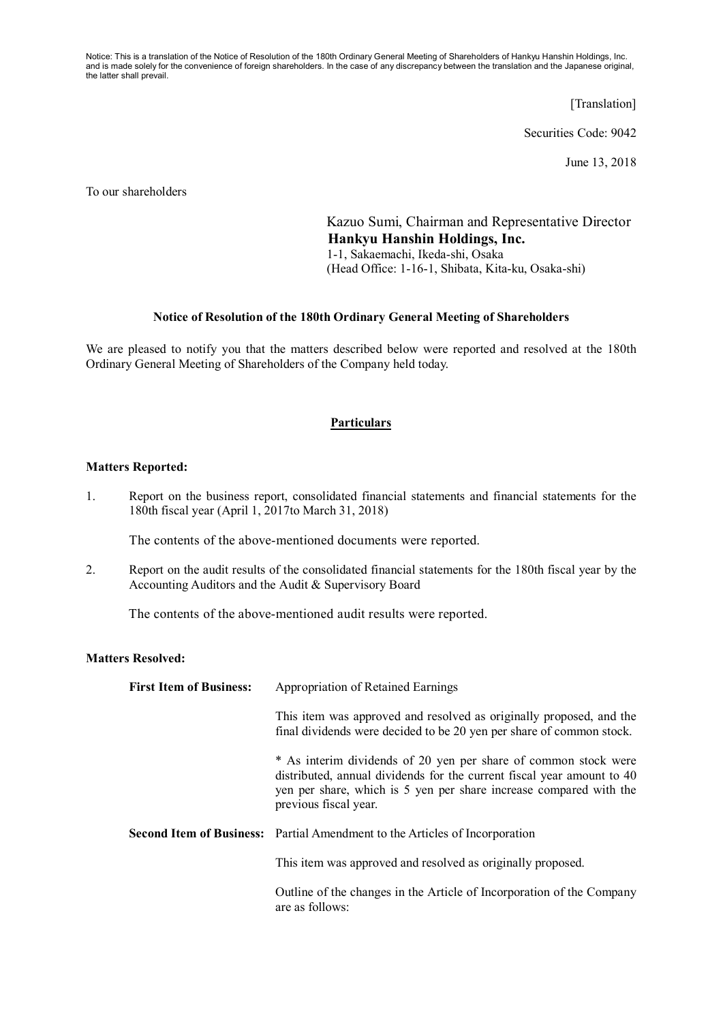Notice: This is a translation of the Notice of Resolution of the 180th Ordinary General Meeting of Shareholders of Hankyu Hanshin Holdings, Inc. and is made solely for the convenience of foreign shareholders. In the case of any discrepancy between the translation and the Japanese original, the latter shall prevail.

[Translation]

Securities Code: 9042

June 13, 2018

To our shareholders

Kazuo Sumi, Chairman and Representative Director **Hankyu Hanshin Holdings, Inc.** 1-1, Sakaemachi, Ikeda-shi, Osaka (Head Office: 1-16-1, Shibata, Kita-ku, Osaka-shi)

## **Notice of Resolution of the 180th Ordinary General Meeting of Shareholders**

We are pleased to notify you that the matters described below were reported and resolved at the 180th Ordinary General Meeting of Shareholders of the Company held today.

## **Particulars**

## **Matters Reported:**

1. Report on the business report, consolidated financial statements and financial statements for the 180th fiscal year (April 1, 2017to March 31, 2018)

The contents of the above-mentioned documents were reported.

2. Report on the audit results of the consolidated financial statements for the 180th fiscal year by the Accounting Auditors and the Audit & Supervisory Board

The contents of the above-mentioned audit results were reported.

## **Matters Resolved:**

| <b>First Item of Business:</b> | Appropriation of Retained Earnings                                                                                                                                                                                                       |  |
|--------------------------------|------------------------------------------------------------------------------------------------------------------------------------------------------------------------------------------------------------------------------------------|--|
|                                | This item was approved and resolved as originally proposed, and the<br>final dividends were decided to be 20 yen per share of common stock.                                                                                              |  |
|                                | * As interim dividends of 20 yen per share of common stock were<br>distributed, annual dividends for the current fiscal year amount to 40<br>yen per share, which is 5 yen per share increase compared with the<br>previous fiscal year. |  |
|                                | <b>Second Item of Business:</b> Partial Amendment to the Articles of Incorporation                                                                                                                                                       |  |
|                                | This item was approved and resolved as originally proposed.                                                                                                                                                                              |  |
|                                | Outline of the changes in the Article of Incorporation of the Company<br>are as follows:                                                                                                                                                 |  |